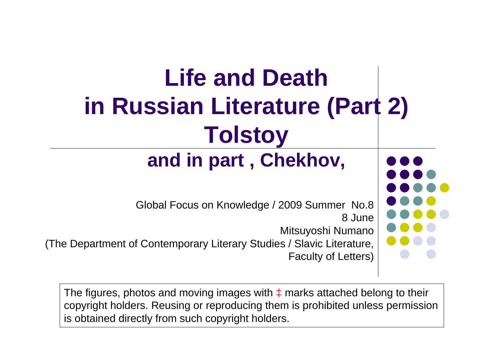#### **Life and Death in Russian Literature (Part 2) Tolstoy and in part , Chekhov,**

Global Focus on Knowledge / 2009 Summer No.8 8 June Mitsuyoshi Numano (The Department of Contemporary Literary Studies / Slavic Literature, Faculty of Letters)

The figures, photos and moving images with  $\pm$  marks attached belong to their copyright holders. Reusing or reproducing them is prohibited unless permission is obtained directly from such copyright holders.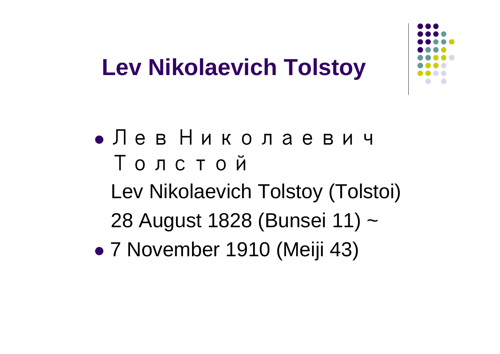

#### **Lev Nikolaevich Tolstoy**

• Лев Николаевич ТолстойLev Nikolaevich Tolstoy (Tolstoi) 28 August 1828 (Bunsei 11) ~  $\bullet$ 7 November 1910 (Meiji 43)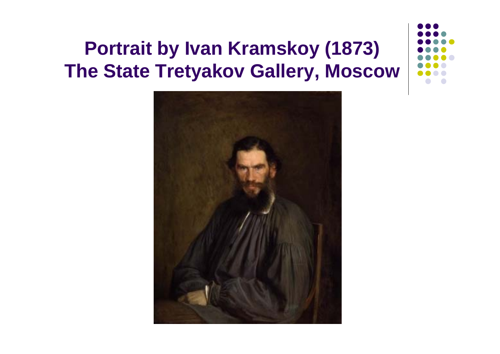#### **Portrait by Ivan Kramskoy (1873) The State Tretyakov Gallery, Moscow**

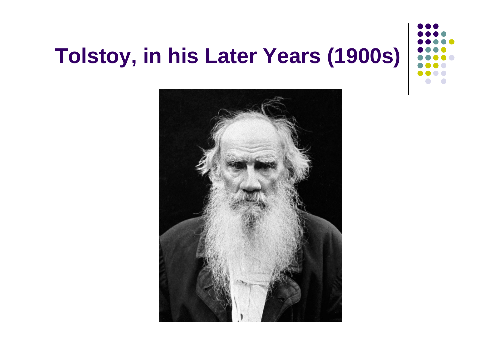#### **Tolstoy, in his Later Years (1900s)**

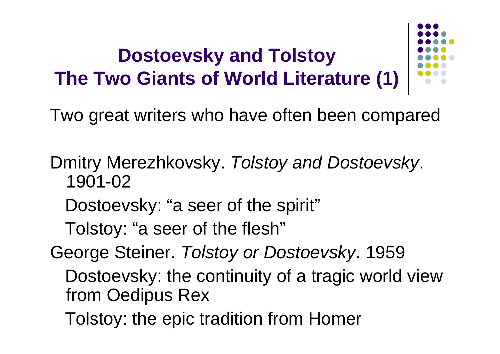#### **Dostoevsky and Tolstoy The Two Giants of World Literature (1)**



- Dmitry Merezhkovsky. *Tolstoy and Dostoevsky*. 1901-02
	- Dostoevsky: "a seer of the spirit"
	- Tolstoy: "a seer of the flesh"
- George Steiner. *Tolstoy or Dostoevsky*. 1959
	- Dostoevsky: the continuity of a tragic world view from Oedipus Rex
	- Tolstoy: the epic tradition from Homer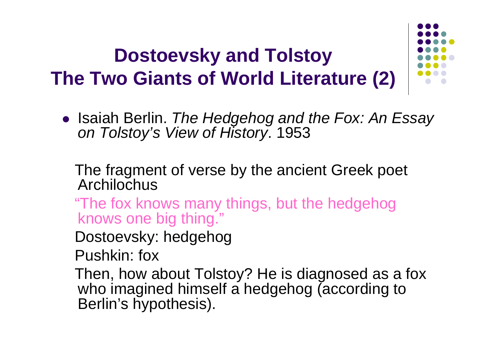#### **Dostoevsky and Tolstoy The Two Giants of World Literature (2)**

**• Isaiah Berlin.** *The Hedgehog and the Fox: An Essay on Tolstoy's View of History*. 1953

The fragment of verse by the ancient Greek poet Archilochus

- "The fox knows many things, but the hedgehog knows one big thing."
- Dostoevsky: hedgehog
- Pushkin: fox
- Then, how about Tolstoy? He is diagnosed as a fox who imagined himself a hedgehog (according to Berlin's hypothesis).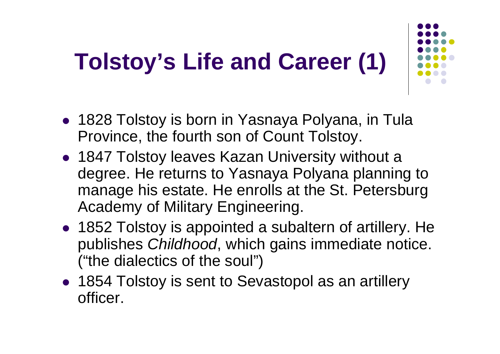# **Tolstoy's Life and Career (1)**

- 
- 1828 Tolstoy is born in Yasnaya Polyana, in Tula Province, the fourth son of Count Tolstoy.
- 1847 Tolstoy leaves Kazan University without a degree. He returns to Yasnaya Polyana planning to manage his estate. He enrolls at the St. Petersburg Academy of Military Engineering.
- 1852 Tolstoy is appointed a subaltern of artillery. He publishes *Childhood*, which gains immediate notice. ("the dialectics of the soul")
- 1854 Tolstoy is sent to Sevastopol as an artillery officer.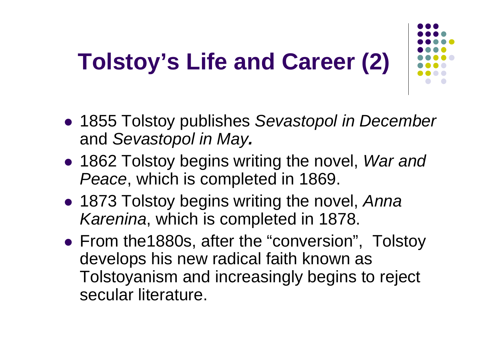# **Tolstoy's Life and Career (2)**

- 
- **1855 Tolstoy publishes Sevastopol in December** and *Sevastopol in May.*
- **1862 Tolstoy begins writing the novel,** *War and Peace*, which is completed in 1869.
- **1873 Tolstoy begins writing the novel, Anna** *Karenina*, which is completed in 1878.
- From the1880s, after the "conversion", Tolstoy develops his new radical faith known as Tolstoyanism and increasingly begins to reject secular literature.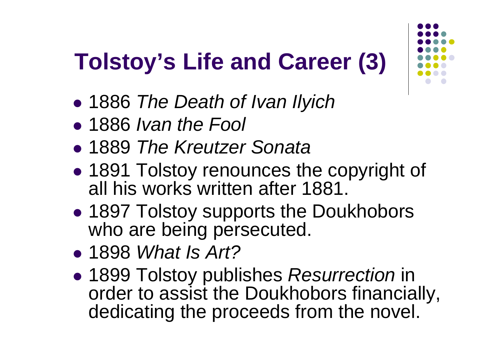# **Tolstoy's Life and Career (3)**

- $\bullet$ 1886 *The Death of Ivan Ilyich*
- z 1886 *Ivan the Fool*
- z 1889 *The Kreutzer Sonata*
- $\bullet$  1891 Tolstoy renounces the copyright of all his works written after 1881.
- $\bullet$ **• 1897 Tolstoy supports the Doukhobors** who are being persecuted.
- z 1898 *What Is Art?*
- $\bullet$  1899 Tolstoy publishes *Resurrection* in order to assist the Doukhobors financially, dedicating the proceeds from the novel.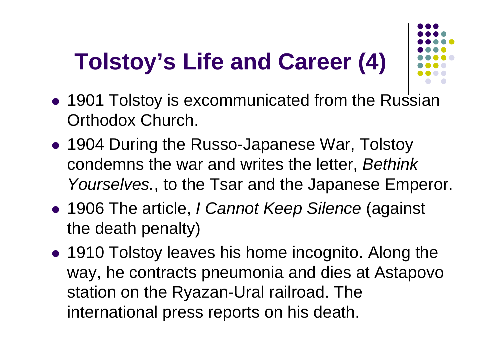# **Tolstoy's Life and Career (4)**



- 1901 Tolstoy is excommunicated from the Russian Orthodox Church.
- 1904 During the Russo-Japanese War, Tolstoy condemns the war and writes the letter, *Bethink Yourselves.*, to the Tsar and the Japanese Emperor.
- z 1906 The article, *I Cannot Keep Silence* (against the death penalty)
- 1910 Tolstoy leaves his home incognito. Along the way, he contracts pneumonia and dies at Astapovo station on the Ryazan-Ural railroad. The international press reports on his death.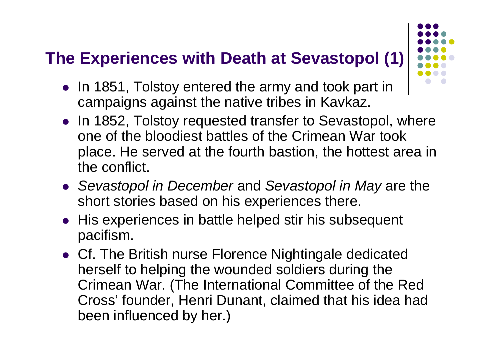#### **The Experiences with Death at Sevastopol (1)**

- 
- In 1851, Tolstoy entered the army and took part in campaigns against the native tribes in Kavkaz.
- In 1852, Tolstoy requested transfer to Sevastopol, where one of the bloodiest battles of the Crimean War took place. He served at the fourth bastion, the hottest area in the conflict.
- **Sevastopol in December and Sevastopol in May are the** short stories based on his experiences there.
- His experiences in battle helped stir his subsequent pacifism.
- Cf. The British nurse Florence Nightingale dedicated herself to helping the wounded soldiers during the Crimean War. (The International Committee of the Red Cross' founder, Henri Dunant, claimed that his idea had been influenced by her.)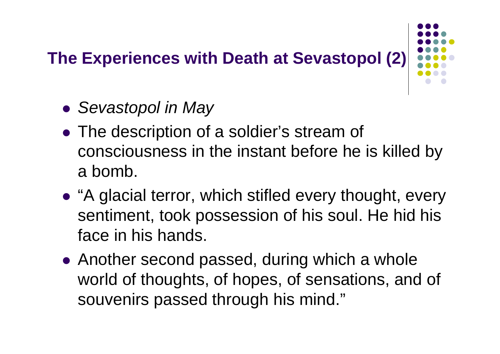#### **The Experiences with Death at Sevastopol (2)**

- z *Sevastopol in May*
- The description of a soldier's stream of consciousness in the instant before he is killed by a bomb.
- "A glacial terror, which stifled every thought, every sentiment, took possession of his soul. He hid his face in his hands.
- $\bullet$  Another second passed, during which a whole world of thoughts, of hopes, of sensations, and of souvenirs passed through his mind."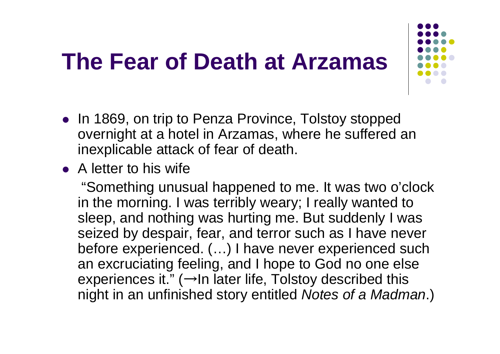#### **The Fear of Death at Arzamas**



- In 1869, on trip to Penza Province, Tolstoy stopped overnight at a hotel in Arzamas, where he suffered an inexplicable attack of fear of death.
- $\bullet$  A letter to his wife

"Something unusual happened to me. It was two o'clock in the morning. I was terribly weary; I really wanted to sleep, and nothing was hurting me. But suddenly I was seized by despair, fear, and terror such as I have never before experienced. (…) I have never experienced such an excruciating feeling, and I hope to God no one else experiences it." (→In later life, Tolstoy described this night in an unfinished story entitled *Notes of a Madman*.)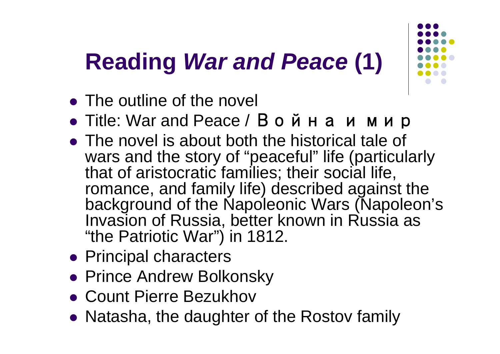## **Reading** *War and Peace* **(1)**

- The outline of the novel
- Title: War and Peace / Война и мир
- $\bullet$  The novel is about both the historical tale of wars and the story of "peaceful" life (particularly that of aristocratic families; their social life, romance, and family life) described against the background of the Napoleonic Wars (Napoleon's Invasion of Russia, better known in Russia as "the Patriotic War") in 1812.
- Principal characters
- **Prince Andrew Bolkonsky**
- Count Pierre Bezukhov
- Natasha, the daughter of the Rostov family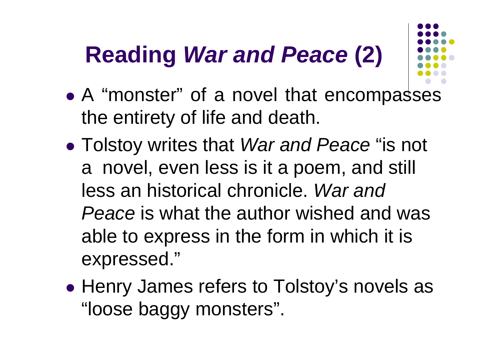### **Reading** *War and Peace* **(2)**

- 
- $\bullet$ • A "monster" of a novel that encompasses the entirety of life and death.
- $\bullet$  Tolstoy writes that *War and Peace* "is not a novel, even less is it a poem, and still less an historical chronicle. *War and Peace* is what the author wished and was able to express in the form in which it is expressed."
- $\bullet$ • Henry James refers to Tolstoy's novels as "loose baggy monsters".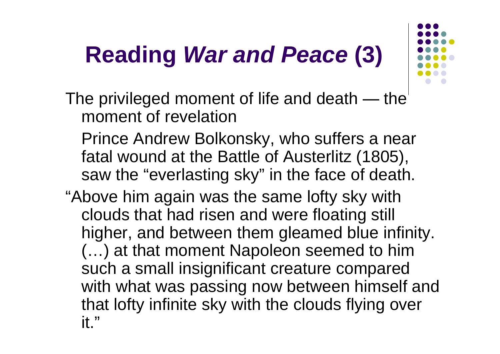# **Reading** *War and Peace* **(3)**



The privileged moment of life and death ― the moment of revelation

Prince Andrew Bolkonsky, who suffers a near fatal wound at the Battle of Austerlitz (1805), saw the "everlasting sky" in the face of death.

"Above him again was the same lofty sky with clouds that had risen and were floating still higher, and between them gleamed blue infinity. (…) at that moment Napoleon seemed to him such a small insignificant creature compared with what was passing now between himself and that lofty infinite sky with the clouds flying over it."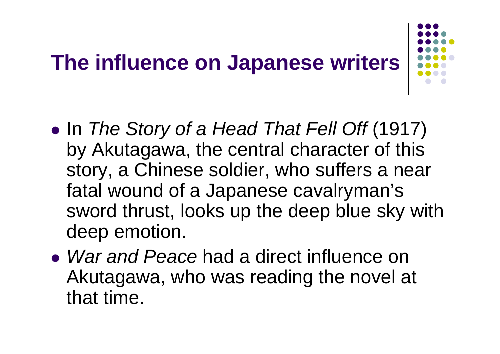#### **The influence on Japanese writers**

- $\bullet$  In *The Story of a Head That Fell Off* (1917) by Akutagawa, the central character of this story, a Chinese soldier, who suffers a near fatal wound of a Japanese cavalryman's sword thrust, looks up the deep blue sky with deep emotion.
- **War and Peace had a direct influence on** Akutagawa, who was reading the novel at that time.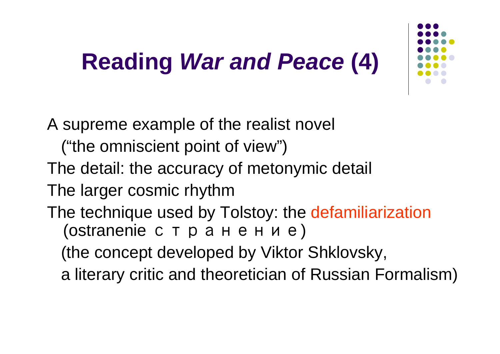#### **Reading** *War and Peace* **(4)**



A supreme example of the realist novel

- ("the omniscient point of view")
- The detail: the accuracy of metonymic detail
- The larger cosmic rhythm
- The technique used by Tolstoy: the defamiliarization (ostranenie странение)
	- (the concept developed by Viktor Shklovsky,
	- a literary critic and theoretician of Russian Formalism)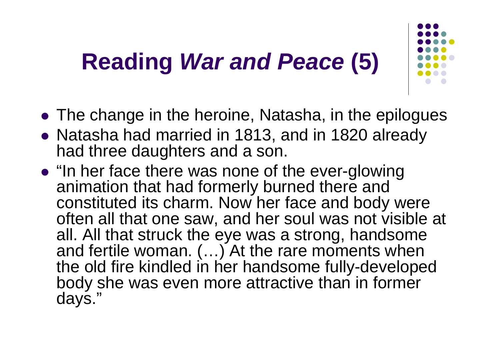#### **Reading** *War and Peace* **(5)**

- The change in the heroine, Natasha, in the epilogues
- Natasha had married in 1813, and in 1820 already had three daughters and a son.
- "In her face there was none of the ever-glowing animation that had formerly burned there and constituted its charm. Now her face and body were often all that one saw, and her soul was not visible at all. All that struck the eye was a strong, handsome and fertile woman. (…) At the rare moments when the old fire kindled in her handsome fully-developed body she was even more attractive than in former days."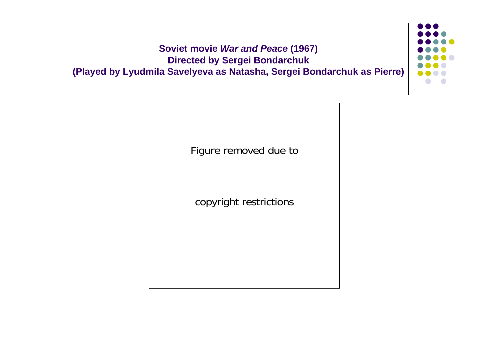

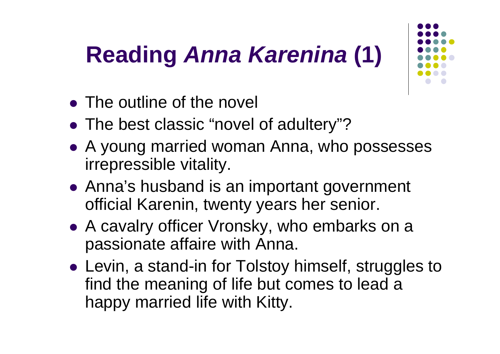## **Reading** *Anna Karenina* **(1)**

- The outline of the novel
- The best classic "novel of adultery"?
- A young married woman Anna, who possesses irrepressible vitality.
- Anna's husband is an important government official Karenin, twenty years her senior.
- A cavalry officer Vronsky, who embarks on a passionate affaire with Anna.
- Levin, a stand-in for Tolstoy himself, struggles to find the meaning of life but comes to lead a happy married life with Kitty.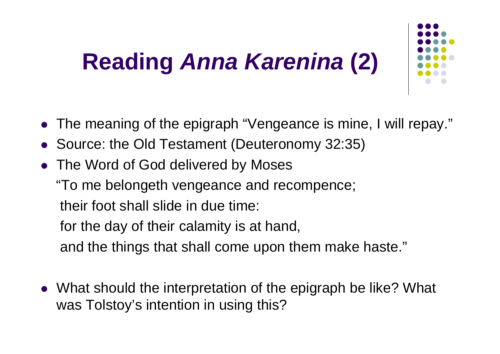# **Reading** *Anna Karenina* **(2)**

- 
- $\bullet$ The meaning of the epigraph "Vengeance is mine, I will repay."
- $\bullet$ Source: the Old Testament (Deuteronomy 32:35)
- $\bullet$ The Word of God delivered by Moses

"To me belongeth vengeance and recompence; their foot shall slide in due time: for the day of their calamity is at hand, and the things that shall come upon them make haste."

• What should the interpretation of the epigraph be like? What was Tolstoy's intention in using this?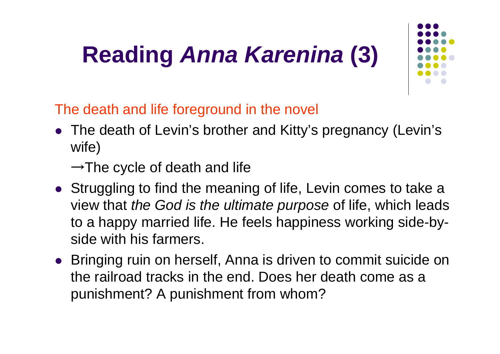# **Reading** *Anna Karenina* **(3)**



The death and life foreground in the novel

• The death of Levin's brother and Kitty's pregnancy (Levin's wife)

 $\rightarrow$ The cycle of death and life

- Struggling to find the meaning of life, Levin comes to take a view that *the God is the ultimate purpose* of life, which leads to a happy married life. He feels happiness working side-byside with his farmers.
- Bringing ruin on herself, Anna is driven to commit suicide on the railroad tracks in the end. Does her death come as a punishment? A punishment from whom?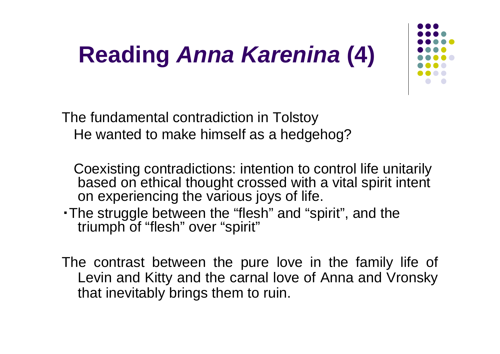### **Reading** *Anna Karenina* **(4)**



The fundamental contradiction in Tolstoy He wanted to make himself as a hedgehog?

Coexisting contradictions: intention to control life unitarily based on ethical thought crossed with a vital spirit intent on experiencing the various joys of life.

- ・The struggle between the "flesh" and "spirit", and the triumph of "flesh" over "spirit"
- The contrast between the pure love in the family life of Levin and Kitty and the carnal love of Anna and Vronsky that inevitably brings them to ruin.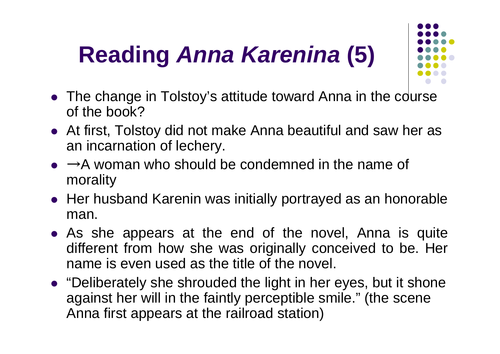# **Reading** *Anna Karenina* **(5)**

- 
- $\bullet$  The change in Tolstoy's attitude toward Anna in the course of the book?
- At first, Tolstoy did not make Anna beautiful and saw her as an incarnation of lechery.
- $\bullet \rightarrow A$  woman who should be condemned in the name of morality
- $\bullet\,$  Her husband Karenin was initially portrayed as an honorable man.
- As she appears at the end of the novel, Anna is quite different from how she was originally conceived to be. Her name is even used as the title of the novel.
- "Deliberately she shrouded the light in her eyes, but it shone against her will in the faintly perceptible smile." (the scene Anna first appears at the railroad station)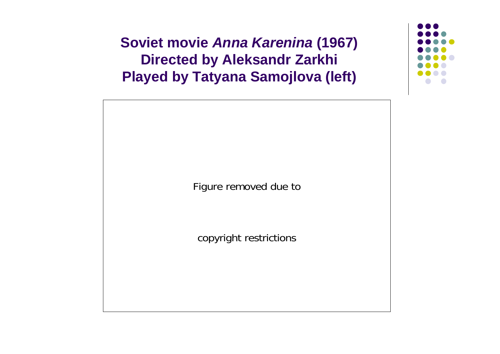**Soviet movie** *Anna Karenina* **(1967) Directed by Aleksandr Zarkhi Played by Tatyana Samojlova (left)**



copyright restrictions

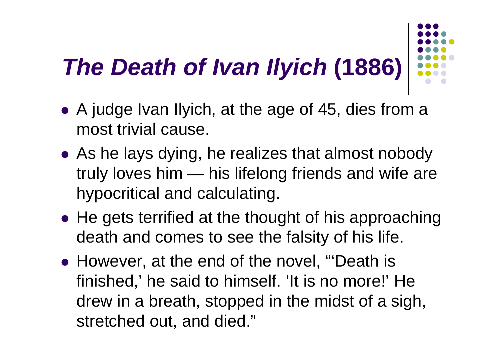# *The Death of Ivan Ilyich* **(1886)**

- A judge Ivan Ilyich, at the age of 45, dies from a most trivial cause.
- As he lays dying, he realizes that almost nobody truly loves him ———————————————————  $\rule{1em}{0.15mm}$  his lifelong friends and wife are hypocritical and calculating.
- $\bullet$  He gets terrified at the thought of his approaching death and comes to see the falsity of his life.
- However, at the end of the novel, "'Death is finished,' he said to himself. 'It is no more!' He drew in a breath, stopped in the midst of a sigh, stretched out, and died."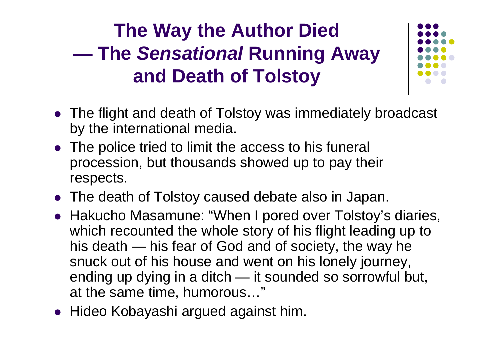#### **The Way the Author Died The** *Sensational* **Running Away and Death of Tolstoy**



- The flight and death of Tolstoy was immediately broadcast by the international media.
- The police tried to limit the access to his funeral procession, but thousands showed up to pay their respects.
- The death of Tolstoy caused debate also in Japan.
- Hakucho Masamune: "When I pored over Tolstoy's diaries, which recounted the whole story of his flight leading up to his death — his fear of God and of society, the way he snuck out of his house and went on his lonely journey, ending up dying in a ditch — it sounded so sorrowful but, at the same time, humorous…"
- $\bullet$ Hideo Kobayashi argued against him.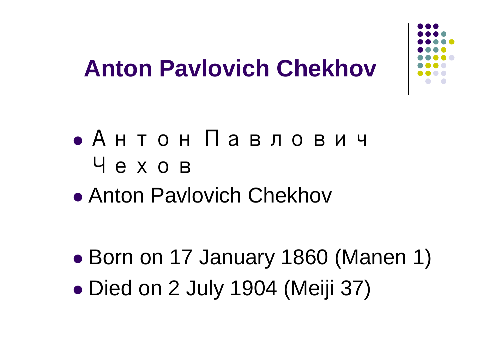

#### **Anton Pavlovich Chekhov**

#### z Антон Павлович Чехов

• Anton Pavlovich Chekhov

 $\bullet$  Born on 17 January 1860 (Manen 1)  $\bullet$ Died on 2 July 1904 (Meiji 37)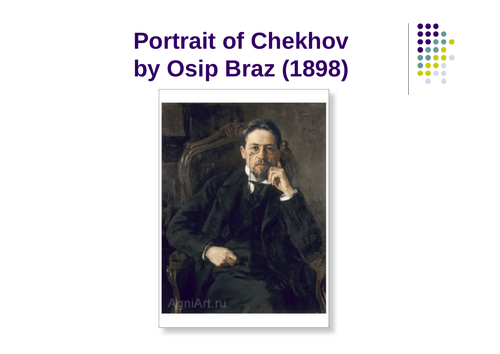#### **Portrait of Chekhov by Osip Braz (1898)**



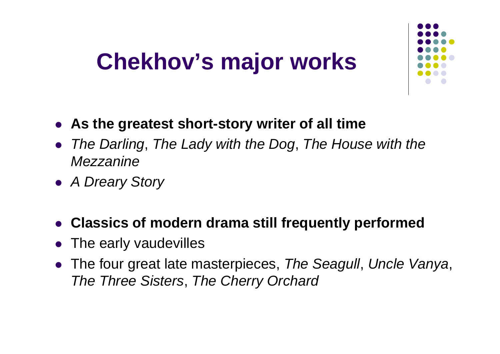#### **Chekhov's major works**



- **As the greatest short-story writer of all time**
- $\bullet$  *The Darling*, *The Lady with the Dog*, *The House with the Mezzanine*
- z *A Dreary Story*
- $\bullet$ **Classics of modern drama still frequently performed**
- $\bullet$ The early vaudevilles
- $\bullet$  The four great late masterpieces, *The Seagull*, *Uncle Vanya*, *The Three Sisters*, *The Cherry Orchard*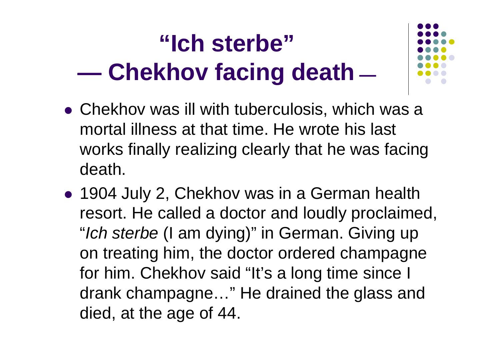# **"Ich sterbe" Chekhov facing death**

- 
- $\bullet$  Chekhov was ill with tuberculosis, which was a mortal illness at that time. He wrote his last works finally realizing clearly that he was facing death.
- 1904 July 2, Chekhov was in a German health resort. He called a doctor and loudly proclaimed, "*Ich sterbe* (I am dying)" in German. Giving up on treating him, the doctor ordered champagne for him. Chekhov said "It's a long time since I drank champagne…" He drained the glass and died, at the age of 44.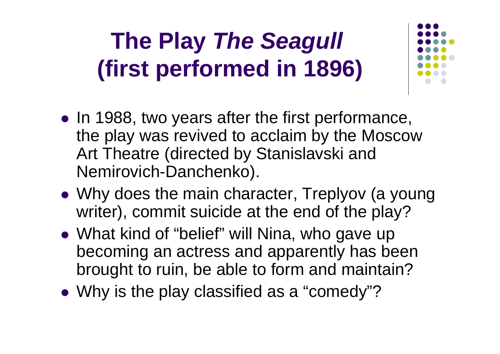### **The Play** *The Seagull*  **(first performed in 1896)**

- In 1988, two years after the first performance, the play was revived to acclaim by the Moscow Art Theatre (directed by Stanislavski and Nemirovich-Danchenko).
- Why does the main character, Treplyov (a young writer), commit suicide at the end of the play?
- What kind of "belief" will Nina, who gave up becoming an actress and apparently has been brought to ruin, be able to form and maintain?
- Why is the play classified as a "comedy"?